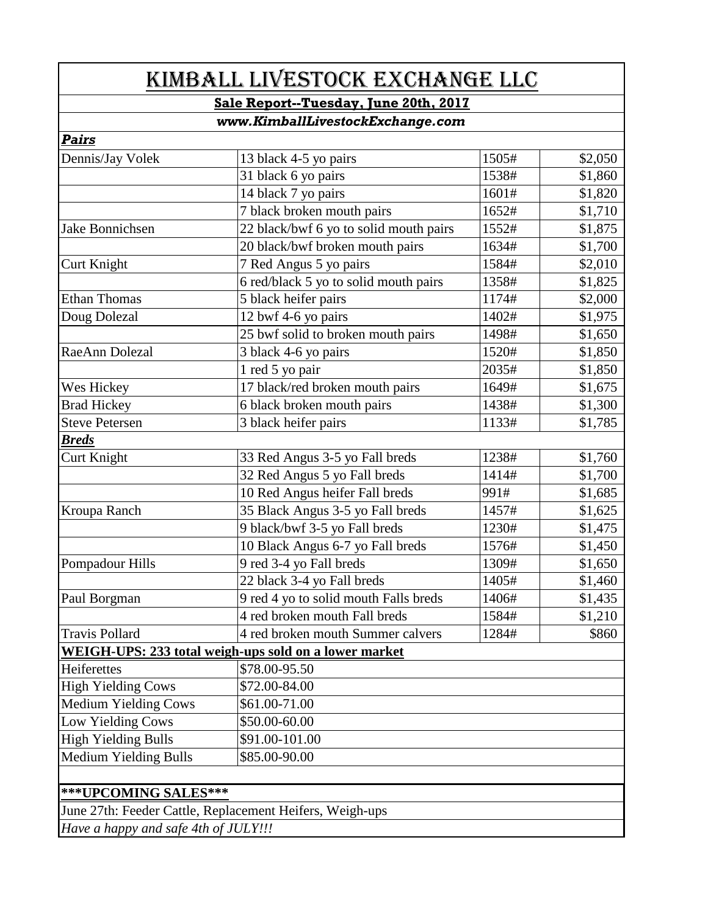| KIMBALL LIVESTOCK EXCHANGE LLC<br>Sale Report--Tuesday, June 20th, 2017<br>www.KimballLivestockExchange.com |                                                          |       |         |                  |                       |       |         |
|-------------------------------------------------------------------------------------------------------------|----------------------------------------------------------|-------|---------|------------------|-----------------------|-------|---------|
|                                                                                                             |                                                          |       |         | Pairs            |                       |       |         |
|                                                                                                             |                                                          |       |         | Dennis/Jay Volek | 13 black 4-5 yo pairs | 1505# | \$2,050 |
|                                                                                                             | 31 black 6 yo pairs                                      | 1538# | \$1,860 |                  |                       |       |         |
|                                                                                                             | 14 black 7 yo pairs                                      | 1601# | \$1,820 |                  |                       |       |         |
|                                                                                                             | 7 black broken mouth pairs                               | 1652# | \$1,710 |                  |                       |       |         |
| Jake Bonnichsen                                                                                             | 22 black/bwf 6 yo to solid mouth pairs                   | 1552# | \$1,875 |                  |                       |       |         |
|                                                                                                             | 20 black/bwf broken mouth pairs                          | 1634# | \$1,700 |                  |                       |       |         |
| Curt Knight                                                                                                 | 7 Red Angus 5 yo pairs                                   | 1584# | \$2,010 |                  |                       |       |         |
|                                                                                                             | 6 red/black 5 yo to solid mouth pairs                    | 1358# | \$1,825 |                  |                       |       |         |
| <b>Ethan Thomas</b>                                                                                         | 5 black heifer pairs                                     | 1174# | \$2,000 |                  |                       |       |         |
| Doug Dolezal                                                                                                | 12 bwf 4-6 yo pairs                                      | 1402# | \$1,975 |                  |                       |       |         |
|                                                                                                             | 25 bwf solid to broken mouth pairs                       | 1498# | \$1,650 |                  |                       |       |         |
| RaeAnn Dolezal                                                                                              | 3 black 4-6 yo pairs                                     | 1520# | \$1,850 |                  |                       |       |         |
|                                                                                                             | 1 red 5 yo pair                                          | 2035# | \$1,850 |                  |                       |       |         |
| Wes Hickey                                                                                                  | 17 black/red broken mouth pairs                          | 1649# | \$1,675 |                  |                       |       |         |
| <b>Brad Hickey</b>                                                                                          | 6 black broken mouth pairs                               | 1438# | \$1,300 |                  |                       |       |         |
| <b>Steve Petersen</b>                                                                                       | 3 black heifer pairs                                     | 1133# | \$1,785 |                  |                       |       |         |
| <b>Breds</b>                                                                                                |                                                          |       |         |                  |                       |       |         |
| <b>Curt Knight</b>                                                                                          | 33 Red Angus 3-5 yo Fall breds                           | 1238# | \$1,760 |                  |                       |       |         |
|                                                                                                             | 32 Red Angus 5 yo Fall breds                             | 1414# | \$1,700 |                  |                       |       |         |
|                                                                                                             | 10 Red Angus heifer Fall breds                           | 991#  | \$1,685 |                  |                       |       |         |
| Kroupa Ranch                                                                                                | 35 Black Angus 3-5 yo Fall breds                         | 1457# | \$1,625 |                  |                       |       |         |
|                                                                                                             | 9 black/bwf 3-5 yo Fall breds                            | 1230# | \$1,475 |                  |                       |       |         |
|                                                                                                             | 10 Black Angus 6-7 yo Fall breds                         | 1576# | \$1,450 |                  |                       |       |         |
| Pompadour Hills                                                                                             | 9 red 3-4 yo Fall breds                                  | 1309# | \$1,650 |                  |                       |       |         |
|                                                                                                             | 22 black 3-4 yo Fall breds                               | 1405# | \$1,460 |                  |                       |       |         |
| Paul Borgman                                                                                                | 9 red 4 yo to solid mouth Falls breds                    | 1406# | \$1,435 |                  |                       |       |         |
|                                                                                                             | 4 red broken mouth Fall breds                            | 1584# | \$1,210 |                  |                       |       |         |
| <b>Travis Pollard</b>                                                                                       | 4 red broken mouth Summer calvers                        | 1284# | \$860   |                  |                       |       |         |
|                                                                                                             | WEIGH-UPS: 233 total weigh-ups sold on a lower market    |       |         |                  |                       |       |         |
| Heiferettes                                                                                                 | \$78.00-95.50                                            |       |         |                  |                       |       |         |
| <b>High Yielding Cows</b>                                                                                   | \$72.00-84.00                                            |       |         |                  |                       |       |         |
| <b>Medium Yielding Cows</b>                                                                                 | \$61.00-71.00                                            |       |         |                  |                       |       |         |
| Low Yielding Cows                                                                                           | \$50.00-60.00                                            |       |         |                  |                       |       |         |
| <b>High Yielding Bulls</b>                                                                                  | \$91.00-101.00                                           |       |         |                  |                       |       |         |
| <b>Medium Yielding Bulls</b>                                                                                | \$85.00-90.00                                            |       |         |                  |                       |       |         |
|                                                                                                             |                                                          |       |         |                  |                       |       |         |
| ***UPCOMING SALES***                                                                                        |                                                          |       |         |                  |                       |       |         |
|                                                                                                             | June 27th: Feeder Cattle, Replacement Heifers, Weigh-ups |       |         |                  |                       |       |         |
| Have a happy and safe 4th of JULY!!!                                                                        |                                                          |       |         |                  |                       |       |         |